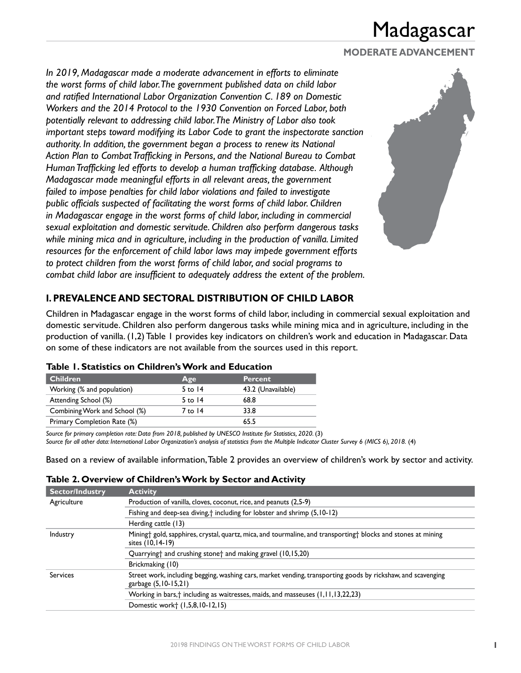### **MODERATE ADVANCEMENT**

*In 2019, Madagascar made a moderate advancement in efforts to eliminate the worst forms of child labor. The government published data on child labor and ratified International Labor Organization Convention C. 189 on Domestic Workers and the 2014 Protocol to the 1930 Convention on Forced Labor, both potentially relevant to addressing child labor. The Ministry of Labor also took important steps toward modifying its Labor Code to grant the inspectorate sanction authority. In addition, the government began a process to renew its National Action Plan to Combat Trafficking in Persons, and the National Bureau to Combat Human Trafficking led efforts to develop a human trafficking database. Although Madagascar made meaningful efforts in all relevant areas, the government failed to impose penalties for child labor violations and failed to investigate public officials suspected of facilitating the worst forms of child labor. Children in Madagascar engage in the worst forms of child labor, including in commercial sexual exploitation and domestic servitude. Children also perform dangerous tasks while mining mica and in agriculture, including in the production of vanilla. Limited resources for the enforcement of child labor laws may impede government efforts to protect children from the worst forms of child labor, and social programs to combat child labor are insufficient to adequately address the extent of the problem.*



## **I. PREVALENCE AND SECTORAL DISTRIBUTION OF CHILD LABOR**

Children in Madagascar engage in the worst forms of child labor, including in commercial sexual exploitation and domestic servitude. Children also perform dangerous tasks while mining mica and in agriculture, including in the production of vanilla. (1,2) Table 1 provides key indicators on children's work and education in Madagascar. Data on some of these indicators are not available from the sources used in this report.

| Age       | <b>Percent</b>     |
|-----------|--------------------|
| 5 to $14$ | 43.2 (Unavailable) |
| 5 to $14$ | 68.8               |
| 7 to 14   | 33.8               |
|           | 65.5               |
|           |                    |

### **Table 1. Statistics on Children's Work and Education**

*Source for primary completion rate: Data from 2018, published by UNESCO Institute for Statistics, 2020.* (3) *Source for all other data: International Labor Organization's analysis of statistics from the Multiple Indicator Cluster Survey 6 (MICS 6), 2018.* (4)

Based on a review of available information, Table 2 provides an overview of children's work by sector and activity.

|  |  | Table 2. Overview of Children's Work by Sector and Activity |
|--|--|-------------------------------------------------------------|
|--|--|-------------------------------------------------------------|

| <b>Sector/Industry</b> | <b>Activity</b>                                                                                                                      |
|------------------------|--------------------------------------------------------------------------------------------------------------------------------------|
| Agriculture            | Production of vanilla, cloves, coconut, rice, and peanuts (2,5-9)                                                                    |
|                        | Fishing and deep-sea diving, <sup>†</sup> including for lobster and shrimp (5,10-12)                                                 |
|                        | Herding cattle (13)                                                                                                                  |
| Industry               | Mining† gold, sapphires, crystal, quartz, mica, and tourmaline, and transporting† blocks and stones at mining<br>sites (10,14-19)    |
|                        | Quarrying† and crushing stone† and making gravel (10,15,20)                                                                          |
|                        | Brickmaking (10)                                                                                                                     |
| Services               | Street work, including begging, washing cars, market vending, transporting goods by rickshaw, and scavenging<br>garbage (5,10-15,21) |
|                        | Working in bars, † including as waitresses, maids, and masseuses (1,11,13,22,23)                                                     |
|                        | Domestic work <sup>+</sup> (1,5,8,10-12,15)                                                                                          |
|                        |                                                                                                                                      |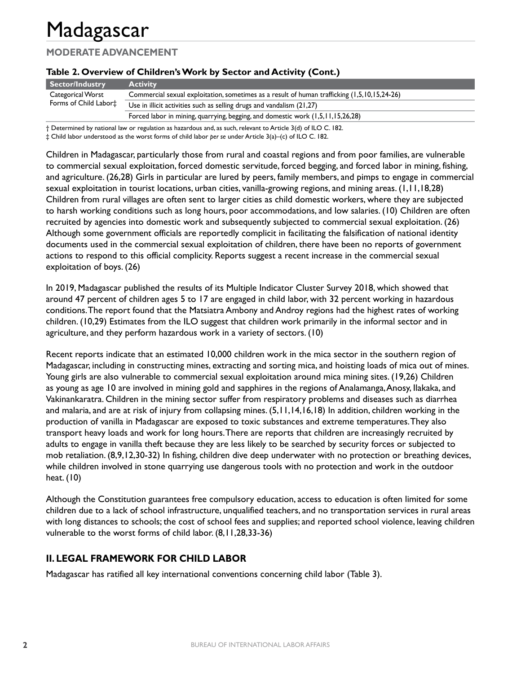## **MODERATE ADVANCEMENT**

### **Table 2. Overview of Children's Work by Sector and Activity (Cont.)**

| Sector/Industry                                        | <b>Activity</b>                                                                              |
|--------------------------------------------------------|----------------------------------------------------------------------------------------------|
| Categorical Worst<br>Forms of Child Labor <sup>+</sup> | Commercial sexual exploitation, sometimes as a result of human trafficking (1,5,10,15,24-26) |
|                                                        | Use in illicit activities such as selling drugs and vandalism (21,27)                        |
|                                                        | Forced labor in mining, quarrying, begging, and domestic work (1,5,11,15,26,28)              |

† Determined by national law or regulation as hazardous and, as such, relevant to Article 3(d) of ILO C. 182.

‡ Child labor understood as the worst forms of child labor *per se* under Article 3(a)–(c) of ILO C. 182.

Children in Madagascar, particularly those from rural and coastal regions and from poor families, are vulnerable to commercial sexual exploitation, forced domestic servitude, forced begging, and forced labor in mining, fishing, and agriculture. (26,28) Girls in particular are lured by peers, family members, and pimps to engage in commercial sexual exploitation in tourist locations, urban cities, vanilla-growing regions, and mining areas. (1,11,18,28) Children from rural villages are often sent to larger cities as child domestic workers, where they are subjected to harsh working conditions such as long hours, poor accommodations, and low salaries. (10) Children are often recruited by agencies into domestic work and subsequently subjected to commercial sexual exploitation. (26) Although some government officials are reportedly complicit in facilitating the falsification of national identity documents used in the commercial sexual exploitation of children, there have been no reports of government actions to respond to this official complicity. Reports suggest a recent increase in the commercial sexual exploitation of boys. (26)

In 2019, Madagascar published the results of its Multiple Indicator Cluster Survey 2018, which showed that around 47 percent of children ages 5 to 17 are engaged in child labor, with 32 percent working in hazardous conditions. The report found that the Matsiatra Ambony and Androy regions had the highest rates of working children. (10,29) Estimates from the ILO suggest that children work primarily in the informal sector and in agriculture, and they perform hazardous work in a variety of sectors. (10)

Recent reports indicate that an estimated 10,000 children work in the mica sector in the southern region of Madagascar, including in constructing mines, extracting and sorting mica, and hoisting loads of mica out of mines. Young girls are also vulnerable to commercial sexual exploitation around mica mining sites. (19,26) Children as young as age 10 are involved in mining gold and sapphires in the regions of Analamanga, Anosy, Ilakaka, and Vakinankaratra. Children in the mining sector suffer from respiratory problems and diseases such as diarrhea and malaria, and are at risk of injury from collapsing mines. (5,11,14,16,18) In addition, children working in the production of vanilla in Madagascar are exposed to toxic substances and extreme temperatures. They also transport heavy loads and work for long hours.There are reports that children are increasingly recruited by adults to engage in vanilla theft because they are less likely to be searched by security forces or subjected to mob retaliation. (8,9,12,30-32) In fishing, children dive deep underwater with no protection or breathing devices, while children involved in stone quarrying use dangerous tools with no protection and work in the outdoor heat. (10)

Although the Constitution guarantees free compulsory education, access to education is often limited for some children due to a lack of school infrastructure, unqualified teachers, and no transportation services in rural areas with long distances to schools; the cost of school fees and supplies; and reported school violence, leaving children vulnerable to the worst forms of child labor. (8,11,28,33-36)

### **II. LEGAL FRAMEWORK FOR CHILD LABOR**

Madagascar has ratified all key international conventions concerning child labor (Table 3).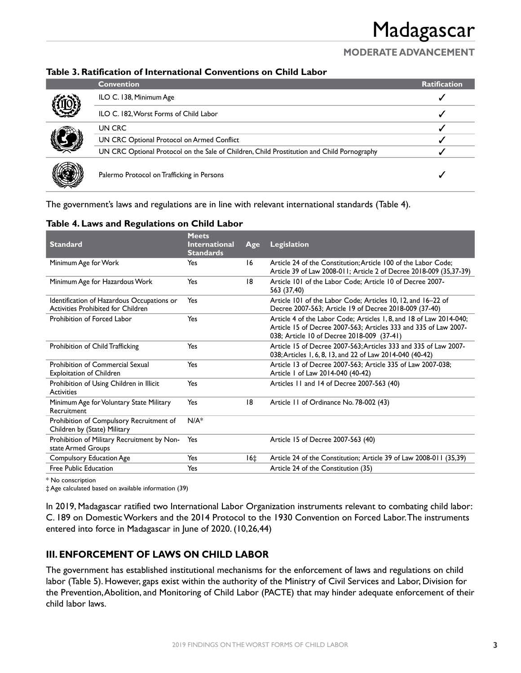## **MODERATE ADVANCEMENT**

### **Table 3. Ratification of International Conventions on Child Labor**

|             | <b>Convention</b>                                                                          | <b>Ratification</b> |
|-------------|--------------------------------------------------------------------------------------------|---------------------|
|             | ILO C. 138, Minimum Age                                                                    |                     |
| All All All | ILO C. 182, Worst Forms of Child Labor                                                     |                     |
|             | UN CRC                                                                                     |                     |
| I           | UN CRC Optional Protocol on Armed Conflict                                                 |                     |
|             | UN CRC Optional Protocol on the Sale of Children, Child Prostitution and Child Pornography |                     |
| J           | Palermo Protocol on Trafficking in Persons                                                 |                     |

The government's laws and regulations are in line with relevant international standards (Table 4).

| <b>Standard</b>                                                                  | <b>Meets</b><br><b>International</b><br><b>Standards</b> | Age   | Legislation                                                                                                                                                                           |
|----------------------------------------------------------------------------------|----------------------------------------------------------|-------|---------------------------------------------------------------------------------------------------------------------------------------------------------------------------------------|
| Minimum Age for Work                                                             | Yes                                                      | 16    | Article 24 of the Constitution: Article 100 of the Labor Code:<br>Article 39 of Law 2008-011; Article 2 of Decree 2018-009 (35,37-39)                                                 |
| Minimum Age for Hazardous Work                                                   | Yes                                                      | 18    | Article 101 of the Labor Code: Article 10 of Decree 2007-<br>563 (37,40)                                                                                                              |
| Identification of Hazardous Occupations or<br>Activities Prohibited for Children | Yes                                                      |       | Article 101 of the Labor Code; Articles 10, 12, and 16-22 of<br>Decree 2007-563; Article 19 of Decree 2018-009 (37-40)                                                                |
| Prohibition of Forced Labor                                                      | Yes                                                      |       | Article 4 of the Labor Code; Articles 1, 8, and 18 of Law 2014-040;<br>Article 15 of Decree 2007-563; Articles 333 and 335 of Law 2007-<br>038; Article 10 of Decree 2018-009 (37-41) |
| Prohibition of Child Trafficking                                                 | Yes                                                      |       | Article 15 of Decree 2007-563; Articles 333 and 335 of Law 2007-<br>038; Articles 1, 6, 8, 13, and 22 of Law 2014-040 (40-42)                                                         |
| Prohibition of Commercial Sexual<br><b>Exploitation of Children</b>              | Yes                                                      |       | Article 13 of Decree 2007-563; Article 335 of Law 2007-038;<br>Article 1 of Law 2014-040 (40-42)                                                                                      |
| Prohibition of Using Children in Illicit<br><b>Activities</b>                    | Yes                                                      |       | Articles 11 and 14 of Decree 2007-563 (40)                                                                                                                                            |
| Minimum Age for Voluntary State Military<br>Recruitment                          | Yes                                                      | 18    | Article 11 of Ordinance No. 78-002 (43)                                                                                                                                               |
| Prohibition of Compulsory Recruitment of<br>Children by (State) Military         | $N/A^*$                                                  |       |                                                                                                                                                                                       |
| Prohibition of Military Recruitment by Non-<br>state Armed Groups                | Yes                                                      |       | Article 15 of Decree 2007-563 (40)                                                                                                                                                    |
| Compulsory Education Age                                                         | Yes                                                      | $16+$ | Article 24 of the Constitution; Article 39 of Law 2008-011 (35,39)                                                                                                                    |
| Free Public Education                                                            | Yes                                                      |       | Article 24 of the Constitution (35)                                                                                                                                                   |

### **Table 4. Laws and Regulations on Child Labor**

\* No conscription

‡ Age calculated based on available information (39)

In 2019, Madagascar ratified two International Labor Organization instruments relevant to combating child labor: C. 189 on Domestic Workers and the 2014 Protocol to the 1930 Convention on Forced Labor. The instruments entered into force in Madagascar in June of 2020. (10,26,44)

## **III. ENFORCEMENT OF LAWS ON CHILD LABOR**

The government has established institutional mechanisms for the enforcement of laws and regulations on child labor (Table 5). However, gaps exist within the authority of the Ministry of Civil Services and Labor, Division for the Prevention, Abolition, and Monitoring of Child Labor (PACTE) that may hinder adequate enforcement of their child labor laws.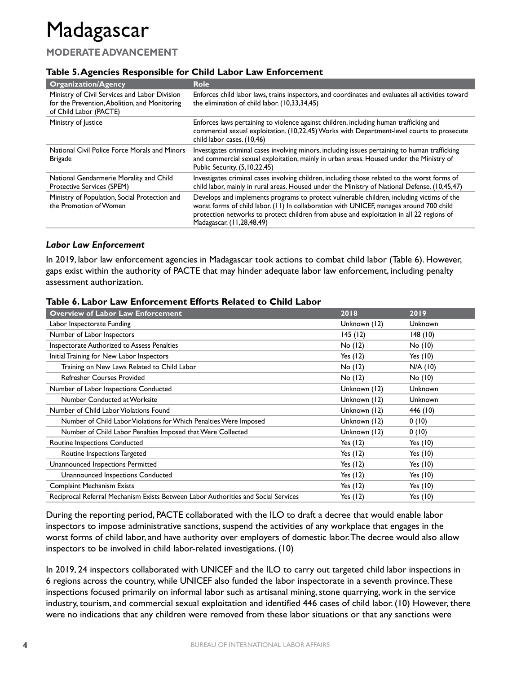## **MODERATE ADVANCEMENT**

### **Table 5. Agencies Responsible for Child Labor Law Enforcement**

| <b>Organization/Agency</b>                                                                                               | <b>Role</b>                                                                                                                                                                                                                                                                                                   |
|--------------------------------------------------------------------------------------------------------------------------|---------------------------------------------------------------------------------------------------------------------------------------------------------------------------------------------------------------------------------------------------------------------------------------------------------------|
| Ministry of Civil Services and Labor Division<br>for the Prevention, Abolition, and Monitoring<br>of Child Labor (PACTE) | Enforces child labor laws, trains inspectors, and coordinates and evaluates all activities toward<br>the elimination of child labor. (10,33,34,45)                                                                                                                                                            |
| Ministry of Justice                                                                                                      | Enforces laws pertaining to violence against children, including human trafficking and<br>commercial sexual exploitation. (10,22,45) Works with Department-level courts to prosecute<br>child labor cases. (10,46)                                                                                            |
| National Civil Police Force Morals and Minors<br><b>Brigade</b>                                                          | Investigates criminal cases involving minors, including issues pertaining to human trafficking<br>and commercial sexual exploitation, mainly in urban areas. Housed under the Ministry of<br>Public Security. (5, 10, 22, 45)                                                                                 |
| National Gendarmerie Morality and Child<br><b>Protective Services (SPEM)</b>                                             | Investigates criminal cases involving children, including those related to the worst forms of<br>child labor, mainly in rural areas. Housed under the Ministry of National Defense. (10,45,47)                                                                                                                |
| Ministry of Population, Social Protection and<br>the Promotion of Women                                                  | Develops and implements programs to protect vulnerable children, including victims of the<br>worst forms of child labor. (11) In collaboration with UNICEF, manages around 700 child<br>protection networks to protect children from abuse and exploitation in all 22 regions of<br>Madagascar. (11,28,48,49) |

#### *Labor Law Enforcement*

In 2019, labor law enforcement agencies in Madagascar took actions to combat child labor (Table 6). However, gaps exist within the authority of PACTE that may hinder adequate labor law enforcement, including penalty assessment authorization.

| <b>Overview of Labor Law Enforcement</b>                                           | 2018         | 2019           |
|------------------------------------------------------------------------------------|--------------|----------------|
| Labor Inspectorate Funding                                                         | Unknown (12) | <b>Unknown</b> |
| Number of Labor Inspectors                                                         | 145(12)      | 148(10)        |
| Inspectorate Authorized to Assess Penalties                                        | $No$ $(12)$  | $No$ $(10)$    |
| Initial Training for New Labor Inspectors                                          | Yes $(12)$   | Yes $(10)$     |
| Training on New Laws Related to Child Labor                                        | $No$ (12)    | $N/A$ (10)     |
| <b>Refresher Courses Provided</b>                                                  | No (12)      | No(10)         |
| Number of Labor Inspections Conducted                                              | Unknown (12) | Unknown        |
| Number Conducted at Worksite                                                       | Unknown (12) | <b>Unknown</b> |
| Number of Child Labor Violations Found                                             | Unknown (12) | 446 (10)       |
| Number of Child Labor Violations for Which Penalties Were Imposed                  | Unknown (12) | 0(10)          |
| Number of Child Labor Penalties Imposed that Were Collected                        | Unknown (12) | 0(10)          |
| Routine Inspections Conducted                                                      | Yes $(12)$   | Yes $(10)$     |
| Routine Inspections Targeted                                                       | Yes $(12)$   | Yes $(10)$     |
| Unannounced Inspections Permitted                                                  | Yes $(12)$   | Yes $(10)$     |
| Unannounced Inspections Conducted                                                  | Yes $(12)$   | Yes $(10)$     |
| Complaint Mechanism Exists                                                         | Yes $(12)$   | Yes $(10)$     |
| Reciprocal Referral Mechanism Exists Between Labor Authorities and Social Services | Yes $(12)$   | Yes $(10)$     |

#### **Table 6. Labor Law Enforcement Efforts Related to Child Labor**

During the reporting period, PACTE collaborated with the ILO to draft a decree that would enable labor inspectors to impose administrative sanctions, suspend the activities of any workplace that engages in the worst forms of child labor, and have authority over employers of domestic labor. The decree would also allow inspectors to be involved in child labor-related investigations. (10)

In 2019, 24 inspectors collaborated with UNICEF and the ILO to carry out targeted child labor inspections in 6 regions across the country, while UNICEF also funded the labor inspectorate in a seventh province. These inspections focused primarily on informal labor such as artisanal mining, stone quarrying, work in the service industry, tourism, and commercial sexual exploitation and identified 446 cases of child labor. (10) However, there were no indications that any children were removed from these labor situations or that any sanctions were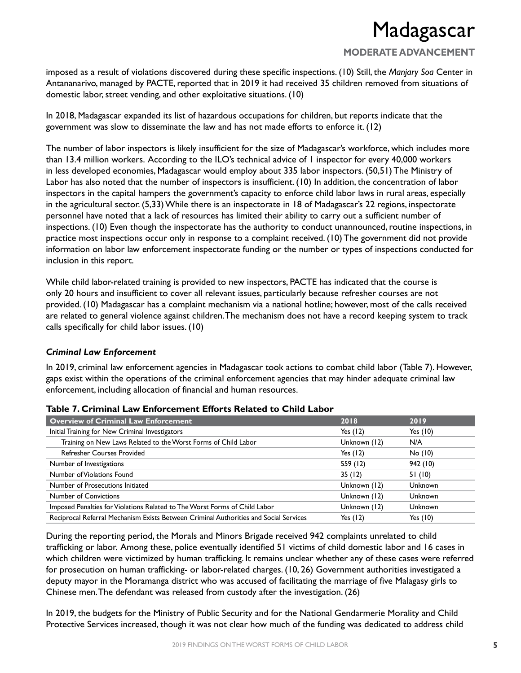## **MODERATE ADVANCEMENT**

imposed as a result of violations discovered during these specific inspections. (10) Still, the *Manjary Soa* Center in Antananarivo, managed by PACTE, reported that in 2019 it had received 35 children removed from situations of domestic labor, street vending, and other exploitative situations. (10)

In 2018, Madagascar expanded its list of hazardous occupations for children, but reports indicate that the government was slow to disseminate the law and has not made efforts to enforce it. (12)

The number of labor inspectors is likely insufficient for the size of Madagascar's workforce, which includes more than 13.4 million workers. According to the ILO's technical advice of 1 inspector for every 40,000 workers in less developed economies, Madagascar would employ about 335 labor inspectors. (50,51) The Ministry of Labor has also noted that the number of inspectors is insufficient. (10) In addition, the concentration of labor inspectors in the capital hampers the government's capacity to enforce child labor laws in rural areas, especially in the agricultural sector. (5,33) While there is an inspectorate in 18 of Madagascar's 22 regions, inspectorate personnel have noted that a lack of resources has limited their ability to carry out a sufficient number of inspections. (10) Even though the inspectorate has the authority to conduct unannounced, routine inspections, in practice most inspections occur only in response to a complaint received. (10) The government did not provide information on labor law enforcement inspectorate funding or the number or types of inspections conducted for inclusion in this report.

While child labor-related training is provided to new inspectors, PACTE has indicated that the course is only 20 hours and insufficient to cover all relevant issues, particularly because refresher courses are not provided. (10) Madagascar has a complaint mechanism via a national hotline; however, most of the calls received are related to general violence against children. The mechanism does not have a record keeping system to track calls specifically for child labor issues. (10)

### *Criminal Law Enforcement*

In 2019, criminal law enforcement agencies in Madagascar took actions to combat child labor (Table 7). However, gaps exist within the operations of the criminal enforcement agencies that may hinder adequate criminal law enforcement, including allocation of financial and human resources.

| <b>Overview of Criminal Law Enforcement</b>                                           | 2018         | 2019           |
|---------------------------------------------------------------------------------------|--------------|----------------|
| Initial Training for New Criminal Investigators                                       | Yes $(12)$   | Yes $(10)$     |
| Training on New Laws Related to the Worst Forms of Child Labor                        | Unknown (12) | N/A            |
| <b>Refresher Courses Provided</b>                                                     | Yes $(12)$   | No(10)         |
| Number of Investigations                                                              | 559 (12)     | 942 (10)       |
| Number of Violations Found                                                            | 35(12)       | 51(10)         |
| Number of Prosecutions Initiated                                                      | Unknown (12) | <b>Unknown</b> |
| <b>Number of Convictions</b>                                                          | Unknown (12) | <b>Unknown</b> |
| Imposed Penalties for Violations Related to The Worst Forms of Child Labor            | Unknown (12) | <b>Unknown</b> |
| Reciprocal Referral Mechanism Exists Between Criminal Authorities and Social Services | Yes $(12)$   | Yes $(10)$     |

#### **Table 7. Criminal Law Enforcement Efforts Related to Child Labor**

During the reporting period, the Morals and Minors Brigade received 942 complaints unrelated to child trafficking or labor. Among these, police eventually identified 51 victims of child domestic labor and 16 cases in which children were victimized by human trafficking. It remains unclear whether any of these cases were referred for prosecution on human trafficking- or labor-related charges. (10, 26) Government authorities investigated a deputy mayor in the Moramanga district who was accused of facilitating the marriage of five Malagasy girls to Chinese men. The defendant was released from custody after the investigation. (26)

In 2019, the budgets for the Ministry of Public Security and for the National Gendarmerie Morality and Child Protective Services increased, though it was not clear how much of the funding was dedicated to address child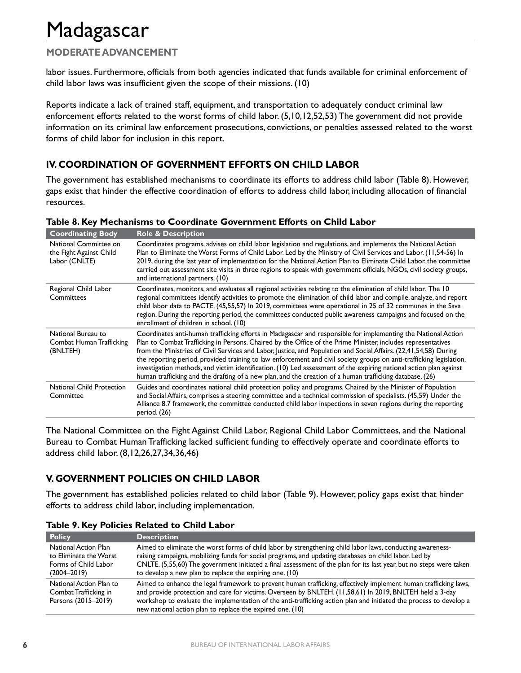## **MODERATE ADVANCEMENT**

labor issues. Furthermore, officials from both agencies indicated that funds available for criminal enforcement of child labor laws was insufficient given the scope of their missions. (10)

Reports indicate a lack of trained staff, equipment, and transportation to adequately conduct criminal law enforcement efforts related to the worst forms of child labor. (5,10,12,52,53) The government did not provide information on its criminal law enforcement prosecutions, convictions, or penalties assessed related to the worst forms of child labor for inclusion in this report.

## **IV. COORDINATION OF GOVERNMENT EFFORTS ON CHILD LABOR**

The government has established mechanisms to coordinate its efforts to address child labor (Table 8). However, gaps exist that hinder the effective coordination of efforts to address child labor, including allocation of financial resources.

| <b>Coordinating Body</b>                                          | <b>Role &amp; Description</b>                                                                                                                                                                                                                                                                                                                                                                                                                                                                                                                                                                                                                                                                                |
|-------------------------------------------------------------------|--------------------------------------------------------------------------------------------------------------------------------------------------------------------------------------------------------------------------------------------------------------------------------------------------------------------------------------------------------------------------------------------------------------------------------------------------------------------------------------------------------------------------------------------------------------------------------------------------------------------------------------------------------------------------------------------------------------|
| National Committee on<br>the Fight Against Child<br>Labor (CNLTE) | Coordinates programs, advises on child labor legislation and regulations, and implements the National Action<br>Plan to Eliminate the Worst Forms of Child Labor. Led by the Ministry of Civil Services and Labor. (11,54-56) In<br>2019, during the last year of implementation for the National Action Plan to Eliminate Child Labor, the committee<br>carried out assessment site visits in three regions to speak with government officials, NGOs, civil society groups,<br>and international partners. (10)                                                                                                                                                                                             |
| Regional Child Labor<br>Committees                                | Coordinates, monitors, and evaluates all regional activities relating to the elimination of child labor. The 10<br>regional committees identify activities to promote the elimination of child labor and compile, analyze, and report<br>child labor data to PACTE. (45,55,57) In 2019, committees were operational in 25 of 32 communes in the Sava<br>region. During the reporting period, the committees conducted public awareness campaigns and focused on the<br>enrollment of children in school. (10)                                                                                                                                                                                                |
| National Bureau to<br>Combat Human Trafficking<br>(BNLTEH)        | Coordinates anti-human trafficking efforts in Madagascar and responsible for implementing the National Action<br>Plan to Combat Trafficking in Persons. Chaired by the Office of the Prime Minister, includes representatives<br>from the Ministries of Civil Services and Labor, Justice, and Population and Social Affairs. (22,41,54,58) During<br>the reporting period, provided training to law enforcement and civil society groups on anti-trafficking legislation,<br>investigation methods, and victim identification. (10) Led assessment of the expiring national action plan against<br>human trafficking and the drafting of a new plan, and the creation of a human trafficking database. (26) |
| National Child Protection<br>Committee                            | Guides and coordinates national child protection policy and programs. Chaired by the Minister of Population<br>and Social Affairs, comprises a steering committee and a technical commission of specialists. (45,59) Under the<br>Alliance 8.7 framework, the committee conducted child labor inspections in seven regions during the reporting<br>period. (26)                                                                                                                                                                                                                                                                                                                                              |

### **Table 8. Key Mechanisms to Coordinate Government Efforts on Child Labor**

The National Committee on the Fight Against Child Labor, Regional Child Labor Committees, and the National Bureau to Combat Human Trafficking lacked sufficient funding to effectively operate and coordinate efforts to address child labor. (8,12,26,27,34,36,46)

## **V. GOVERNMENT POLICIES ON CHILD LABOR**

The government has established policies related to child labor (Table 9). However, policy gaps exist that hinder efforts to address child labor, including implementation.

| <b>Policy</b>                                                                             | <b>Description</b>                                                                                                                                                                                                                                                                                                                                                                                              |
|-------------------------------------------------------------------------------------------|-----------------------------------------------------------------------------------------------------------------------------------------------------------------------------------------------------------------------------------------------------------------------------------------------------------------------------------------------------------------------------------------------------------------|
| National Action Plan<br>to Eliminate the Worst<br>Forms of Child Labor<br>$(2004 - 2019)$ | Aimed to eliminate the worst forms of child labor by strengthening child labor laws, conducting awareness-<br>raising campaigns, mobilizing funds for social programs, and updating databases on child labor. Led by<br>CNLTE. (5,55,60) The government initiated a final assessment of the plan for its last year, but no steps were taken<br>to develop a new plan to replace the expiring one. (10)          |
| National Action Plan to<br>Combat Trafficking in<br>Persons (2015-2019)                   | Aimed to enhance the legal framework to prevent human trafficking, effectively implement human trafficking laws,<br>and provide protection and care for victims. Overseen by BNLTEH. (11,58,61) In 2019, BNLTEH held a 3-day<br>workshop to evaluate the implementation of the anti-trafficking action plan and initiated the process to develop a<br>new national action plan to replace the expired one. (10) |

**Table 9. Key Policies Related to Child Labor**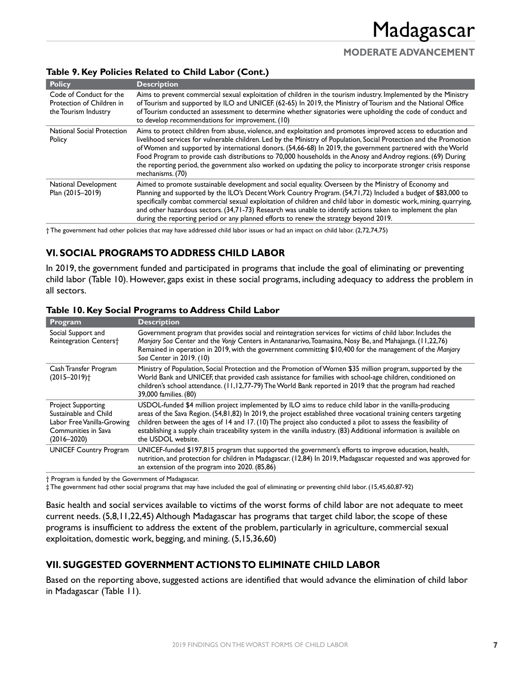## **MODERATE ADVANCEMENT**

### **Table 9. Key Policies Related to Child Labor (Cont.)**

| <b>Policy</b>                                                                | <b>Description</b>                                                                                                                                                                                                                                                                                                                                                                                                                                                                                                                                                                                         |
|------------------------------------------------------------------------------|------------------------------------------------------------------------------------------------------------------------------------------------------------------------------------------------------------------------------------------------------------------------------------------------------------------------------------------------------------------------------------------------------------------------------------------------------------------------------------------------------------------------------------------------------------------------------------------------------------|
| Code of Conduct for the<br>Protection of Children in<br>the Tourism Industry | Aims to prevent commercial sexual exploitation of children in the tourism industry, Implemented by the Ministry<br>of Tourism and supported by ILO and UNICEF. (62-65) In 2019, the Ministry of Tourism and the National Office<br>of Tourism conducted an assessment to determine whether signatories were upholding the code of conduct and<br>to develop recommendations for improvement. (10)                                                                                                                                                                                                          |
| <b>National Social Protection</b><br>Policy                                  | Aims to protect children from abuse, violence, and exploitation and promotes improved access to education and<br>livelihood services for vulnerable children. Led by the Ministry of Population, Social Protection and the Promotion<br>of Women and supported by international donors. (54,66-68) In 2019, the government partnered with the World<br>Food Program to provide cash distributions to 70,000 households in the Anosy and Androy regions. (69) During<br>the reporting period, the government also worked on updating the policy to incorporate stronger crisis response<br>mechanisms. (70) |
| National Development<br>Plan (2015-2019)                                     | Aimed to promote sustainable development and social equality. Overseen by the Ministry of Economy and<br>Planning and supported by the ILO's Decent Work Country Program. (54,71,72) Included a budget of \$83,000 to<br>specifically combat commercial sexual exploitation of children and child labor in domestic work, mining, quarrying,<br>and other hazardous sectors. (34,71-73) Research was unable to identify actions taken to implement the plan<br>during the reporting period or any planned efforts to renew the strategy beyond 2019.                                                       |

† The government had other policies that may have addressed child labor issues or had an impact on child labor. (2,72,74,75)

## **VI. SOCIAL PROGRAMS TO ADDRESS CHILD LABOR**

In 2019, the government funded and participated in programs that include the goal of eliminating or preventing child labor (Table 10). However, gaps exist in these social programs, including adequacy to address the problem in all sectors.

| Program                                                                                                                    | <b>Description</b>                                                                                                                                                                                                                                                                                                                                                                                                                                                                         |
|----------------------------------------------------------------------------------------------------------------------------|--------------------------------------------------------------------------------------------------------------------------------------------------------------------------------------------------------------------------------------------------------------------------------------------------------------------------------------------------------------------------------------------------------------------------------------------------------------------------------------------|
| Social Support and<br><b>Reintegration Centers†</b>                                                                        | Government program that provides social and reintegration services for victims of child labor. Includes the<br>Manjary Soa Center and the Vonjy Centers in Antananarivo, Toamasina, Nosy Be, and Mahajanga. (11,22,76)<br>Remained in operation in 2019, with the government committing \$10,400 for the management of the Manjary<br>Soa Center in 2019. (10)                                                                                                                             |
| Cash Transfer Program<br>$(2015 - 2019)$ <sup>+</sup>                                                                      | Ministry of Population, Social Protection and the Promotion of Women \$35 million program, supported by the<br>World Bank and UNICEF, that provided cash assistance for families with school-age children, conditioned on<br>children's school attendance. (11,12,77-79) The World Bank reported in 2019 that the program had reached<br>39,000 families. (80)                                                                                                                             |
| <b>Project Supporting</b><br>Sustainable and Child<br>Labor Free Vanilla-Growing<br>Communities in Sava<br>$(2016 - 2020)$ | USDOL-funded \$4 million project implemented by ILO aims to reduce child labor in the vanilla-producing<br>areas of the Sava Region. (54,81,82) In 2019, the project established three vocational training centers targeting<br>children between the ages of 14 and 17. (10) The project also conducted a pilot to assess the feasibility of<br>establishing a supply chain traceability system in the vanilla industry. (83) Additional information is available on<br>the USDOL website. |
| <b>UNICEF Country Program</b>                                                                                              | UNICEF-funded \$197,815 program that supported the government's efforts to improve education, health,<br>nutrition, and protection for children in Madagascar. (12,84) In 2019, Madagascar requested and was approved for<br>an extension of the program into 2020. (85,86)                                                                                                                                                                                                                |

### **Table 10. Key Social Programs to Address Child Labor**

† Program is funded by the Government of Madagascar.

‡ The government had other social programs that may have included the goal of eliminating or preventing child labor. (15,45,60,87-92)

Basic health and social services available to victims of the worst forms of child labor are not adequate to meet current needs. (5,8,11,22,45) Although Madagascar has programs that target child labor, the scope of these programs is insufficient to address the extent of the problem, particularly in agriculture, commercial sexual exploitation, domestic work, begging, and mining. (5,15,36,60)

### **VII. SUGGESTED GOVERNMENT ACTIONS TO ELIMINATE CHILD LABOR**

Based on the reporting above, suggested actions are identified that would advance the elimination of child labor in Madagascar (Table 11).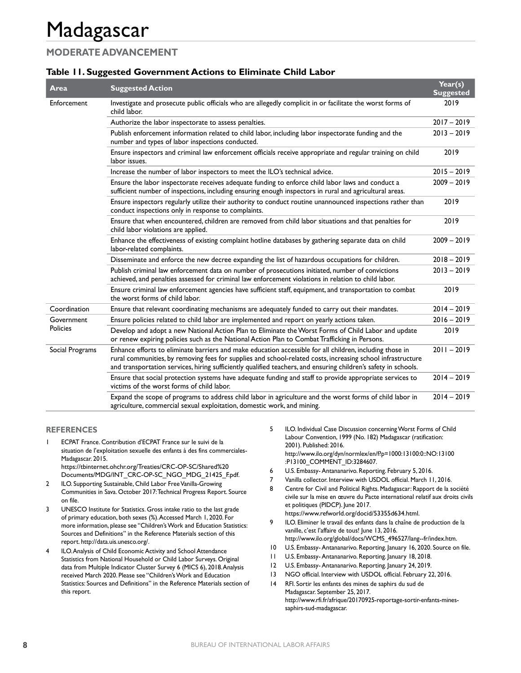## **MODERATE ADVANCEMENT**

### **Table 11. Suggested Government Actions to Eliminate Child Labor**

| Area                   | <b>Suggested Action</b>                                                                                                                                                                                                                                                                                                                    | Year(s)<br><b>Suggested</b> |
|------------------------|--------------------------------------------------------------------------------------------------------------------------------------------------------------------------------------------------------------------------------------------------------------------------------------------------------------------------------------------|-----------------------------|
| Enforcement            | Investigate and prosecute public officials who are allegedly complicit in or facilitate the worst forms of<br>child labor.                                                                                                                                                                                                                 | 2019                        |
|                        | Authorize the labor inspectorate to assess penalties.                                                                                                                                                                                                                                                                                      | $2017 - 2019$               |
|                        | Publish enforcement information related to child labor, including labor inspectorate funding and the<br>number and types of labor inspections conducted.                                                                                                                                                                                   | $2013 - 2019$               |
|                        | Ensure inspectors and criminal law enforcement officials receive appropriate and regular training on child<br>labor issues.                                                                                                                                                                                                                | 2019                        |
|                        | Increase the number of labor inspectors to meet the ILO's technical advice.                                                                                                                                                                                                                                                                | $2015 - 2019$               |
|                        | Ensure the labor inspectorate receives adequate funding to enforce child labor laws and conduct a<br>sufficient number of inspections, including ensuring enough inspectors in rural and agricultural areas.                                                                                                                               | $2009 - 2019$               |
|                        | Ensure inspectors regularly utilize their authority to conduct routine unannounced inspections rather than<br>conduct inspections only in response to complaints.                                                                                                                                                                          | 2019                        |
|                        | Ensure that when encountered, children are removed from child labor situations and that penalties for<br>child labor violations are applied.                                                                                                                                                                                               | 2019                        |
|                        | Enhance the effectiveness of existing complaint hotline databases by gathering separate data on child<br>labor-related complaints.                                                                                                                                                                                                         | $2009 - 2019$               |
|                        | Disseminate and enforce the new decree expanding the list of hazardous occupations for children.                                                                                                                                                                                                                                           | $2018 - 2019$               |
|                        | Publish criminal law enforcement data on number of prosecutions initiated, number of convictions<br>achieved, and penalties assessed for criminal law enforcement violations in relation to child labor.                                                                                                                                   | $2013 - 2019$               |
|                        | Ensure criminal law enforcement agencies have sufficient staff, equipment, and transportation to combat<br>the worst forms of child labor.                                                                                                                                                                                                 | 2019                        |
| Coordination           | Ensure that relevant coordinating mechanisms are adequately funded to carry out their mandates.                                                                                                                                                                                                                                            | $2014 - 2019$               |
| Government<br>Policies | Ensure policies related to child labor are implemented and report on yearly actions taken.                                                                                                                                                                                                                                                 | $2016 - 2019$               |
|                        | Develop and adopt a new National Action Plan to Eliminate the Worst Forms of Child Labor and update<br>or renew expiring policies such as the National Action Plan to Combat Trafficking in Persons.                                                                                                                                       | 2019                        |
| Social Programs        | Enhance efforts to eliminate barriers and make education accessible for all children, including those in<br>rural communities, by removing fees for supplies and school-related costs, increasing school infrastructure<br>and transportation services, hiring sufficiently qualified teachers, and ensuring children's safety in schools. | $2011 - 2019$               |
|                        | Ensure that social protection systems have adequate funding and staff to provide appropriate services to<br>victims of the worst forms of child labor.                                                                                                                                                                                     | $2014 - 2019$               |
|                        | Expand the scope of programs to address child labor in agriculture and the worst forms of child labor in<br>agriculture, commercial sexual exploitation, domestic work, and mining.                                                                                                                                                        | $2014 - 2019$               |

#### **REFERENCES**

- 1 ECPAT France. Contribution d'ECPAT France sur le suivi de la situation de l'exploitation sexuelle des enfants à des fins commerciales-Madagascar. 2015. https://tbinternet.ohchr.org/Treaties/CRC-OP-SC/Shared%20
- Documents/MDG/INT\_CRC-OP-SC\_NGO\_MDG\_21425\_F.pdf. 2 ILO. Supporting Sustainable, Child Labor Free Vanilla-Growing Communities in Sava. October 2017: Technical Progress Report. Source on file.
- 3 UNESCO Institute for Statistics. Gross intake ratio to the last grade of primary education, both sexes (%).Accessed March 1, 2020. For more information, please see "Children's Work and Education Statistics: Sources and Definitions" in the Reference Materials section of this report. http://data.uis.unesco.org/.
- ILO. Analysis of Child Economic Activity and School Attendance Statistics from National Household or Child Labor Surveys. Original data from Multiple Indicator Cluster Survey 6 (MICS 6), 2018.Analysis received March 2020. Please see "Children's Work and Education Statistics: Sources and Definitions" in the Reference Materials section of this report.
- 5 ILO. Individual Case Discussion concerning Worst Forms of Child Labour Convention, 1999 (No. 182) Madagascar (ratification: 2001). Published: 2016. http://www.ilo.org/dyn/normlex/en/f?p=1000:13100:0::NO:13100 :P13100\_COMMENT\_ID:3284607.
- 6 U.S. Embassy- Antananarivo. Reporting. February 5, 2016.
- 7 Vanilla collector. Interview with USDOL official. March 11, 2016.
- 8 Centre for Civil and Political Rights. Madagascar: Rapport de la société civile sur la mise en œuvre du Pacte international relatif aux droits civils et politiques (PIDCP). June 2017. https://www.refworld.org/docid/53355d634.html.
- 9 ILO. Eliminer le travail des enfants dans la chaîne de production de la vanille, c'est l'affaire de tous! June 13, 2016.
- http://www.ilo.org/global/docs/WCMS\_496527/lang--fr/index.htm.
- 10 U.S. Embassy- Antananarivo. Reporting. January 16, 2020. Source on file. 11 U.S. Embassy- Antananarivo. Reporting. January 18, 2018.
- 12 U.S. Embassy- Antananarivo. Reporting. January 24, 2019.
- 13 NGO official. Interview with USDOL official. February 22, 2016.
- 14 RFI. Sortir les enfants des mines de saphirs du sud de Madagascar. September 25, 2017. http://www.rfi.fr/afrique/20170925-reportage-sortir-enfants-minessaphirs-sud-madagascar.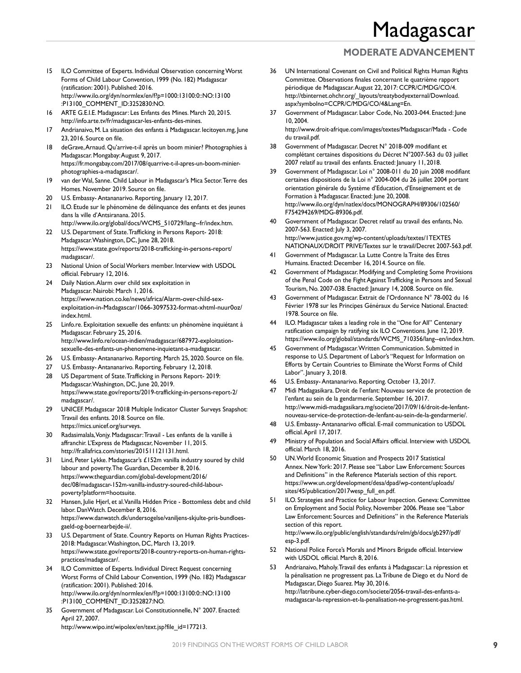## **MODERATE ADVANCEMENT**

- 15 ILO Committee of Experts. Individual Observation concerning Worst Forms of Child Labour Convention, 1999 (No. 182) Madagascar (ratification: 2001). Published: 2016. http://www.ilo.org/dyn/normlex/en/f?p=1000:13100:0::NO:13100 :P13100\_COMMENT\_ID:3252830:NO.
- 16 ARTE G.E.I.E. Madagascar: Les Enfants des Mines. March 20, 2015. http://info.arte.tv/fr/madagascar-les-enfants-des-mines.
- 17 Andrianaivo, M. La situation des enfants à Madagascar. lecitoyen.mg, June 23, 2016. Source on file.
- 18 deGrave, Arnaud. Qu'arrive-t-il après un boom minier? Photographies à Madagascar. Mongabay:August 9, 2017. https://fr.mongabay.com/2017/08/quarrive-t-il-apres-un-boom-minierphotographies-a-madagascar/.
- 19 van der Wal, Sanne. Child Labour in Madagascar's Mica Sector.Terre des Homes. November 2019. Source on file.
- 20 U.S. Embassy- Antananarivo. Reporting. January 12, 2017.
- 21 ILO. Etude sur le phénomène de délinquance des enfants et des jeunes dans la ville d'Antsiranana. 2015.
- http://www.ilo.org/global/docs/WCMS\_510729/lang--fr/index.htm. 22 U.S. Department of State.Trafficking in Persons Report- 2018: Madagascar.Washington, DC, June 28, 2018. https://www.state.gov/reports/2018-trafficking-in-persons-report/ madagascar/.
- 23 National Union of Social Workers member. Interview with USDOL official. February 12, 2016.
- 24 Daily Nation. Alarm over child sex exploitation in Madagascar. Nairobi: March 1, 2016. https://www.nation.co.ke/news/africa/Alarm-over-child-sexexploitation-in-Madagascar/1066-3097532-format-xhtml-nuur0oz/ index.html.
- 25 Linfo.re. Exploitation sexuelle des enfants: un phénomène inquiétant à Madagascar. February 25, 2016. http://www.linfo.re/ocean-indien/madagascar/687972-exploitationsexuelle-des-enfants-un-phenomene-inquietant-a-madagascar.
- 26 U.S. Embassy- Antananarivo. Reporting. March 25, 2020. Source on file.
- 27 U.S. Embassy- Antananarivo. Reporting. February 12, 2018.
- 28 US Department of State.Trafficking in Persons Report- 2019: Madagascar.Washington, DC, June 20, 2019. https://www.state.gov/reports/2019-trafficking-in-persons-report-2/ madagascar/.
- 29 UNICEF. Madagascar 2018 Multiple Indicator Cluster Surveys Snapshot: Travail des enfants. 2018. Source on file. https://mics.unicef.org/surveys.
- 30 Radasimalala, Vonjy. Madagascar: Travail Les enfants de la vanille à affranchir. L'Express de Madagascar, November 11, 2015. http://fr.allafrica.com/stories/201511121131.html.
- 31 Lind, Peter Lykke. Madagascar's £152m vanilla industry soured by child labour and poverty.The Guardian, December 8, 2016. https://www.theguardian.com/global-development/2016/ dec/08/madagascar-152m-vanilla-industry-soured-child-labourpoverty?platform=hootsuite.
- 32 Hansen, Julie Hjerl, et al.Vanilla Hidden Price Bottomless debt and child labor. DanWatch. December 8, 2016. https://www.danwatch.dk/undersogelse/vaniljens-skjulte-pris-bundloesgaeld-og-boernearbejde-ii/.
- 33 U.S. Department of State. Country Reports on Human Rights Practices-2018: Madagascar.Washington, DC, March 13, 2019. https://www.state.gov/reports/2018-country-reports-on-human-rightspractices/madagascar/.
- 34 ILO Committee of Experts. Individual Direct Request concerning Worst Forms of Child Labour Convention, 1999 (No. 182) Madagascar (ratification: 2001). Published: 2016. http://www.ilo.org/dyn/normlex/en/f?p=1000:13100:0::NO:13100 :P13100\_COMMENT\_ID:3252827:NO.
- 35 Government of Madagascar. Loi Constitutionnelle, N° 2007. Enacted: April 27, 2007. http://www.wipo.int/wipolex/en/text.jsp?file\_id=177213.

36 UN International Covenant on Civil and Political Rights Human Rights Committee. Observations finales concernant le quatrième rapport périodique de Madagascar.August 22, 2017: CCPR/C/MDG/CO/4. http://tbinternet.ohchr.org/\_layouts/treatybodyexternal/Download. aspx?symbolno=CCPR/C/MDG/CO/4&Lang=En.

- 37 Government of Madagascar. Labor Code, No. 2003-044. Enacted: June 10, 2004. http://www.droit-afrique.com/images/textes/Madagascar/Mada - Code
- du travail.pdf. 38 Government of Madagascar. Decret N° 2018-009 modifiant et complétant certaines dispositions du Décret N°2007-563 du 03 juillet 2007 relatif au travail des enfants. Enacted: January 11, 2018.
- 39 Government of Madagascar. Loi n° 2008-011 du 20 juin 2008 modifiant certaines dispositions de la Loi n° 2004-004 du 26 juillet 2004 portant orientation générale du Système d'Education, d'Enseignement et de Formation à Madagascar. Enacted: June 20, 2008. http://www.ilo.org/dyn/natlex/docs/MONOGRAPH/89306/102560/ F754294269/MDG-89306.pdf.
- 40 Government of Madagascar. Decret relatif au travail des enfants, No. 2007-563. Enacted: July 3, 2007. http://www.justice.gov.mg/wp-content/uploads/textes/1TEXTES NATIONAUX/DROIT PRIVE/Textes sur le travail/Decret 2007-563.pdf.
- 41 Government of Madagascar. La Lutte Contre la Traite des Etres Humains. Enacted: December 16, 2014. Source on file.
- 42 Government of Madagascar. Modifying and Completing Some Provisions of the Penal Code on the Fight Against Trafficking in Persons and Sexual Tourism, No. 2007-038. Enacted: January 14, 2008. Source on file.
- 43 Government of Madagascar. Extrait de l'Ordonnance N° 78-002 du 16 Février 1978 sur les Principes Généraux du Service National. Enacted: 1978. Source on file.
- ILO. Madagascar takes a leading role in the "One for All" Centenary ratification campaign by ratifying six ILO Conventions. June 12, 2019. https://www.ilo.org/global/standards/WCMS\_710356/lang--en/index.htm.
- 45 Government of Madagascar.Written Communication. Submitted in response to U.S. Department of Labor's "Request for Information on Efforts by Certain Countries to Eliminate the Worst Forms of Child Labor". January 3, 2018.
- 46 U.S. Embassy- Antananarivo. Reporting. October 13, 2017.
- 47 Midi Madagasikara. Droit de l'enfant: Nouveau service de protection de l'enfant au sein de la gendarmerie. September 16, 2017. http://www.midi-madagasikara.mg/societe/2017/09/16/droit-de-lenfantnouveau-service-de-protection-de-lenfant-au-sein-de-la-gendarmerie/.
- 48 U.S. Embassy- Antananarivo official. E-mail communication to USDOL official.April 17, 2017.
- 49 Ministry of Population and Social Affairs official. Interview with USDOL official. March 18, 2016.
- 50 UN.World Economic Situation and Prospects 2017 Statistical Annex. New York: 2017. Please see "Labor Law Enforcement: Sources and Definitions" in the Reference Materials section of this report. https://www.un.org/development/desa/dpad/wp-content/uploads/ sites/45/publication/2017wesp\_full\_en.pdf.
- ILO. Strategies and Practice for Labour Inspection. Geneva: Committee on Employment and Social Policy, November 2006. Please see "Labor Law Enforcement: Sources and Definitions" in the Reference Materials section of this report. http://www.ilo.org/public/english/standards/relm/gb/docs/gb297/pdf/ esp-3.pdf.
- 52 National Police Force's Morals and Minors Brigade official. Interview with USDOL official. March 8, 2016.
- 53 Andrianaivo, Maholy.Travail des enfants à Madagascar: La répression et la pénalisation ne progressent pas. La Tribune de Diego et du Nord de Madagascar, Diego Suarez. May 30, 2016. http://latribune.cyber-diego.com/societe/2056-travail-des-enfants-amadagascar-la-repression-et-la-penalisation-ne-progressent-pas.html.